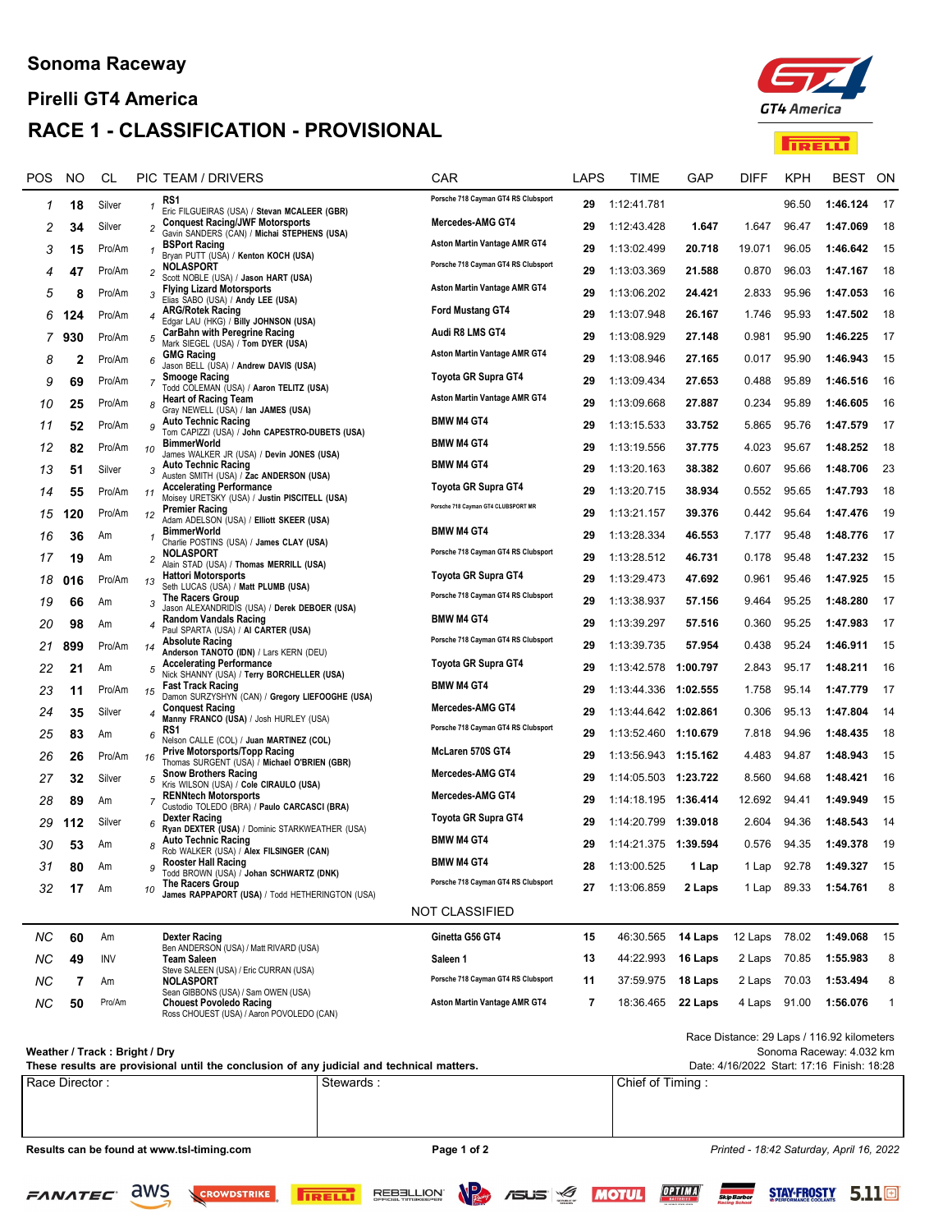## Pirelli GT4 America RACE 1 - CLASSIFICATION - PROVISIONAL



**TRELL** 

| <b>POS</b>                                                                                                                 | NO                                                                                                                                                                                                    | СL     |                         | PIC TEAM / DRIVERS                                                                   | CAR                                                      | LAPS | TIME                 | GAP     | <b>DIFF</b> | KPH                                                                    | BEST                                       | ON             |
|----------------------------------------------------------------------------------------------------------------------------|-------------------------------------------------------------------------------------------------------------------------------------------------------------------------------------------------------|--------|-------------------------|--------------------------------------------------------------------------------------|----------------------------------------------------------|------|----------------------|---------|-------------|------------------------------------------------------------------------|--------------------------------------------|----------------|
| 1                                                                                                                          | 18                                                                                                                                                                                                    | Silver |                         | RS1<br>Eric FILGUEIRAS (USA) / Stevan MCALEER (GBR)                                  | Porsche 718 Cayman GT4 RS Clubsport                      | 29   | 1:12:41.781          |         |             | 96.50                                                                  | 1:46.124                                   | 17             |
| 2                                                                                                                          | 34                                                                                                                                                                                                    | Silver | $\overline{c}$          | <b>Conquest Racing/JWF Motorsports</b>                                               | Mercedes-AMG GT4                                         | 29   | 1:12:43.428          | 1.647   | 1.647       | 96.47                                                                  | 1:47.069                                   | 18             |
| 3                                                                                                                          | 15                                                                                                                                                                                                    | Pro/Am |                         | Gavin SANDERS (CAN) / Michai STEPHENS (USA)<br><b>BSPort Racing</b>                  | <b>Aston Martin Vantage AMR GT4</b>                      | 29   | 1:13:02.499          | 20.718  | 19.071      | 96.05                                                                  | 1:46.642                                   | 15             |
| 4                                                                                                                          | 47                                                                                                                                                                                                    | Pro/Am | $\overline{\mathbf{c}}$ | Bryan PUTT (USA) / Kenton KOCH (USA)<br><b>NOLASPORT</b>                             | Porsche 718 Cayman GT4 RS Clubsport                      | 29   | 1:13:03.369          | 21.588  | 0.870       | 96.03                                                                  | 1:47.167                                   | 18             |
| 5                                                                                                                          | 8                                                                                                                                                                                                     | Pro/Am | 3                       | Scott NOBLE (USA) / Jason HART (USA)<br><b>Flying Lizard Motorsports</b>             | <b>Aston Martin Vantage AMR GT4</b>                      | 29   | 1:13:06.202          | 24.421  | 2.833       | 95.96                                                                  | 1:47.053                                   | 16             |
| 6                                                                                                                          | 124                                                                                                                                                                                                   | Pro/Am |                         | Elias SABO (USA) / Andy LEE (USA)<br><b>ARG/Rotek Racing</b>                         | <b>Ford Mustang GT4</b>                                  | 29   | 1:13:07.948          | 26.167  | 1.746       | 95.93                                                                  | 1:47.502                                   | 18             |
| 7                                                                                                                          | 930                                                                                                                                                                                                   | Pro/Am | 5                       | Edgar LAU (HKG) / Billy JOHNSON (USA)<br><b>CarBahn with Peregrine Racing</b>        | Audi R8 LMS GT4                                          | 29   | 1:13:08.929          | 27.148  | 0.981       | 95.90                                                                  | 1:46.225                                   | 17             |
| 8                                                                                                                          | 2                                                                                                                                                                                                     | Pro/Am |                         | Mark SIEGEL (USA) / Tom DYER (USA)<br><b>GMG Racing</b>                              | <b>Aston Martin Vantage AMR GT4</b>                      | 29   | 1:13:08.946          | 27.165  | 0.017       | 95.90                                                                  | 1:46.943                                   | 15             |
| 9                                                                                                                          | 69                                                                                                                                                                                                    | Pro/Am | 6                       | Jason BELL (USA) / Andrew DAVIS (USA)<br><b>Smooge Racing</b>                        | Toyota GR Supra GT4                                      | 29   | 1:13:09.434          | 27.653  | 0.488       | 95.89                                                                  | 1:46.516                                   | 16             |
| 10                                                                                                                         | 25                                                                                                                                                                                                    | Pro/Am | $\boldsymbol{7}$        | Todd COLEMAN (USA) / Aaron TELITZ (USA)<br><b>Heart of Racing Team</b>               | <b>Aston Martin Vantage AMR GT4</b>                      | 29   | 1:13:09.668          | 27.887  | 0.234       | 95.89                                                                  | 1:46.605                                   | 16             |
|                                                                                                                            |                                                                                                                                                                                                       | Pro/Am | 8                       | Gray NEWELL (USA) / lan JAMES (USA)<br><b>Auto Technic Racing</b>                    | <b>BMW M4 GT4</b>                                        | 29   | 1:13:15.533          | 33.752  | 5.865       | 95.76                                                                  | 1:47.579                                   | 17             |
| 11                                                                                                                         | 52                                                                                                                                                                                                    |        | 9                       | Tom CAPIZZI (USA) / John CAPESTRO-DUBETS (USA)<br><b>BimmerWorld</b>                 | <b>BMW M4 GT4</b>                                        |      |                      |         |             |                                                                        |                                            |                |
| 12                                                                                                                         | 82                                                                                                                                                                                                    | Pro/Am | 10                      | James WALKER JR (USA) / Devin JONES (USA)<br><b>Auto Technic Racing</b>              | <b>BMW M4 GT4</b>                                        | 29   | 1:13:19.556          | 37.775  | 4.023       | 95.67                                                                  | 1:48.252                                   | 18             |
| 13                                                                                                                         | 51                                                                                                                                                                                                    | Silver | 3                       | Austen SMITH (USA) / Zac ANDERSON (USA)<br><b>Accelerating Performance</b>           | Toyota GR Supra GT4                                      | 29   | 1:13:20.163          | 38.382  | 0.607       | 95.66                                                                  | 1:48.706                                   | 23             |
| 14                                                                                                                         | 55                                                                                                                                                                                                    | Pro/Am | 11                      | Moisey URETSKY (USA) / Justin PISCITELL (USA)<br><b>Premier Racing</b>               | Porsche 718 Cayman GT4 CLUBSPORT MR                      | 29   | 1:13:20.715          | 38.934  | 0.552       | 95.65                                                                  | 1:47.793                                   | 18             |
| 15                                                                                                                         | 120                                                                                                                                                                                                   | Pro/Am | 12                      | Adam ADELSON (USA) / Elliott SKEER (USA)<br><b>BimmerWorld</b>                       | <b>BMW M4 GT4</b>                                        | 29   | 1:13:21.157          | 39.376  | 0.442       | 95.64                                                                  | 1:47.476                                   | 19             |
| 16                                                                                                                         | 36                                                                                                                                                                                                    | Am     | 1                       | Charlie POSTINS (USA) / James CLAY (USA)<br><b>NOLASPORT</b>                         | Porsche 718 Cayman GT4 RS Clubsport                      | 29   | 1:13:28.334          | 46.553  | 7.177       | 95.48                                                                  | 1:48.776                                   | 17             |
| 17                                                                                                                         | 19                                                                                                                                                                                                    | Am     | $\overline{\mathbf{c}}$ | Alain STAD (USA) / Thomas MERRILL (USA)                                              | Toyota GR Supra GT4                                      | 29   | 1:13:28.512          | 46.731  | 0.178       | 95.48                                                                  | 1:47.232                                   | 15             |
| 18                                                                                                                         | 016                                                                                                                                                                                                   | Pro/Am | 13                      | <b>Hattori Motorsports</b><br>Seth LUCAS (USA) / Matt PLUMB (USA)                    | Porsche 718 Cayman GT4 RS Clubsport                      | 29   | 1:13:29.473          | 47.692  | 0.961       | 95.46                                                                  | 1:47.925                                   | 15             |
| 19                                                                                                                         | 66                                                                                                                                                                                                    | Am     | 3                       | The Racers Group<br>Jason ALEXANDRIDIS (USA) / Derek DEBOER (USA)                    |                                                          | 29   | 1:13:38.937          | 57.156  | 9.464       | 95.25                                                                  | 1:48.280                                   | 17             |
| 20                                                                                                                         | 98                                                                                                                                                                                                    | Am     |                         | <b>Random Vandals Racing</b><br>Paul SPARTA (USA) / AI CARTER (USA)                  | <b>BMW M4 GT4</b><br>Porsche 718 Cayman GT4 RS Clubsport | 29   | 1:13:39.297          | 57.516  | 0.360       | 95.25                                                                  | 1:47.983                                   | 17             |
| 21                                                                                                                         | 899                                                                                                                                                                                                   | Pro/Am | 14                      | <b>Absolute Racing</b><br>Anderson TANOTO (IDN) / Lars KERN (DEU)                    |                                                          | 29   | 1:13:39.735          | 57.954  | 0.438       | 95.24                                                                  | 1:46.911                                   | 15             |
| 22                                                                                                                         | 21                                                                                                                                                                                                    | Am     | 5                       | <b>Accelerating Performance</b><br>Nick SHANNY (USA) / Terry BORCHELLER (USA)        | Toyota GR Supra GT4                                      | 29   | 1:13:42.578 1:00.797 |         | 2.843       | 95.17                                                                  | 1:48.211                                   | 16             |
| 23                                                                                                                         | 11                                                                                                                                                                                                    | Pro/Am | 15                      | <b>Fast Track Racing</b><br>Damon SURZYSHYN (CAN) / Gregory LIEFOOGHE (USA)          | <b>BMW M4 GT4</b>                                        | 29   | 1:13:44.336 1:02.555 |         | 1.758       | 95.14                                                                  | 1:47.779                                   | 17             |
| 24                                                                                                                         | 35                                                                                                                                                                                                    | Silver | 4                       | <b>Conquest Racing</b><br>Manny FRANCO (USA) / Josh HURLEY (USA)                     | Mercedes-AMG GT4                                         | 29   | 1:13:44.642 1:02.861 |         | 0.306       | 95.13                                                                  | 1:47.804                                   | 14             |
| 25                                                                                                                         | 83                                                                                                                                                                                                    | Am     | 6                       | RS1<br>Nelson CALLE (COL) / Juan MARTINEZ (COL)                                      | Porsche 718 Cayman GT4 RS Clubsport                      | 29   | 1:13:52.460 1:10.679 |         | 7.818       | 94.96                                                                  | 1:48.435                                   | 18             |
| 26                                                                                                                         | 26                                                                                                                                                                                                    | Pro/Am | 16                      | <b>Prive Motorsports/Topp Racing</b><br>Thomas SURGENT (USA) / Michael O'BRIEN (GBR) | McLaren 570S GT4                                         | 29   | 1:13:56.943 1:15.162 |         | 4.483       | 94.87                                                                  | 1:48.943                                   | 15             |
| 27                                                                                                                         | 32                                                                                                                                                                                                    | Silver | 5                       | <b>Snow Brothers Racing</b><br>Kris WILSON (USA) / Cole CIRAULO (USA)                | Mercedes-AMG GT4                                         | 29   | 1:14:05.503 1:23.722 |         | 8.560       | 94.68                                                                  | 1:48.421                                   | 16             |
| 28                                                                                                                         | 89                                                                                                                                                                                                    | Am     |                         | <b>RENNtech Motorsports</b><br>Custodio TOLEDO (BRA) / Paulo CARCASCI (BRA)          | Mercedes-AMG GT4                                         | 29   |                      |         | 12.692      | 94.41                                                                  | 1:49.949                                   | 15             |
| 29                                                                                                                         | 112                                                                                                                                                                                                   | Silver | 6                       | <b>Dexter Racing</b><br>Ryan DEXTER (USA) / Dominic STARKWEATHER (USA)               | Toyota GR Supra GT4                                      | 29   | 1:14:20.799 1:39.018 |         | 2.604       | 94.36                                                                  | 1:48.543                                   | 14             |
| 30                                                                                                                         | 53                                                                                                                                                                                                    | Am     |                         | <b>Auto Technic Racing</b><br>Rob WALKER (USA) / Alex FILSINGER (CAN)                | <b>BMW M4 GT4</b>                                        | 29   | 1:14:21.375 1:39.594 |         | 0.576       | 94.35                                                                  | 1:49.378                                   | 19             |
| 31                                                                                                                         | 80                                                                                                                                                                                                    | Am     |                         | <b>Rooster Hall Racing</b><br>Todd BROWN (USA) / Johan SCHWARTZ (DNK)                | <b>BMW M4 GT4</b>                                        | 28   | 1:13:00.525          | 1 Lap   |             |                                                                        | 1 Lap 92.78 1:49.327                       | 15             |
| 32                                                                                                                         | 17                                                                                                                                                                                                    | Am     | 10                      | <b>The Racers Group</b><br>James RAPPAPORT (USA) / Todd HETHERINGTON (USA)           | Porsche 718 Cayman GT4 RS Clubsport                      | 27   | 1:13:06.859          | 2 Laps  |             |                                                                        | 1 Lap 89.33 1:54.761                       | 8              |
|                                                                                                                            |                                                                                                                                                                                                       |        |                         |                                                                                      | <b>NOT CLASSIFIED</b>                                    |      |                      |         |             |                                                                        |                                            |                |
| ΝC                                                                                                                         | 60                                                                                                                                                                                                    | Am     |                         | <b>Dexter Racing</b>                                                                 | Ginetta G56 GT4                                          | 15   | 46:30.565            | 14 Laps | 12 Laps     | 78.02                                                                  | 1:49.068                                   | 15             |
| NС                                                                                                                         | 49                                                                                                                                                                                                    | inv    |                         | Ben ANDERSON (USA) / Matt RIVARD (USA)<br><b>Team Saleen</b>                         | Saleen 1                                                 | 13   | 44:22.993            | 16 Laps | 2 Laps      | 70.85                                                                  | 1:55.983                                   | 8              |
| ΝC                                                                                                                         | 7                                                                                                                                                                                                     | Am     |                         | Steve SALEEN (USA) / Eric CURRAN (USA)<br>NOLASPORT                                  | Porsche 718 Cayman GT4 RS Clubsport                      | 11   | 37:59.975            | 18 Laps | 2 Laps      | 70.03                                                                  | 1:53.494                                   | 8              |
| ΝC                                                                                                                         | 50                                                                                                                                                                                                    | Pro/Am |                         | Sean GIBBONS (USA) / Sam OWEN (USA)<br><b>Chouest Povoledo Racing</b>                | <b>Aston Martin Vantage AMR GT4</b>                      | 7    | 18:36.465            | 22 Laps | 4 Laps      | 91.00                                                                  | 1:56.076                                   | $\overline{1}$ |
|                                                                                                                            |                                                                                                                                                                                                       |        |                         | Ross CHOUEST (USA) / Aaron POVOLEDO (CAN)                                            |                                                          |      |                      |         |             |                                                                        |                                            |                |
|                                                                                                                            |                                                                                                                                                                                                       |        |                         |                                                                                      |                                                          |      |                      |         |             |                                                                        | Race Distance: 29 Laps / 116.92 kilometers |                |
| Weather / Track: Bright / Dry<br>These results are provisional until the conclusion of any judicial and technical matters. |                                                                                                                                                                                                       |        |                         |                                                                                      |                                                          |      |                      |         |             | Sonoma Raceway: 4.032 km<br>Date: 4/16/2022 Start: 17:16 Finish: 18:28 |                                            |                |
|                                                                                                                            | Race Director:                                                                                                                                                                                        |        |                         | Stewards:                                                                            |                                                          |      | Chief of Timing :    |         |             |                                                                        |                                            |                |
|                                                                                                                            |                                                                                                                                                                                                       |        |                         |                                                                                      |                                                          |      |                      |         |             |                                                                        |                                            |                |
|                                                                                                                            |                                                                                                                                                                                                       |        |                         |                                                                                      |                                                          |      |                      |         |             |                                                                        |                                            |                |
|                                                                                                                            |                                                                                                                                                                                                       |        |                         | Results can be found at www.tsl-timing.com                                           | Page 1 of 2                                              |      |                      |         |             |                                                                        | Printed - 18:42 Saturday, April 16, 2022   |                |
|                                                                                                                            |                                                                                                                                                                                                       |        |                         |                                                                                      |                                                          |      |                      |         |             |                                                                        |                                            |                |
|                                                                                                                            | aws<br>OPTIMA<br><b>REBELLION</b><br><b>STAY-FROSTY</b><br>51 I O<br><b>MOTUL</b><br><b>CROWDSTRIKE</b><br>$\frac{1}{\sqrt{2}}$ and $\frac{1}{\sqrt{2}}$<br>FANATEC <sup>®</sup><br><b>Skip Barbe</b> |        |                         |                                                                                      |                                                          |      |                      |         |             |                                                                        |                                            |                |